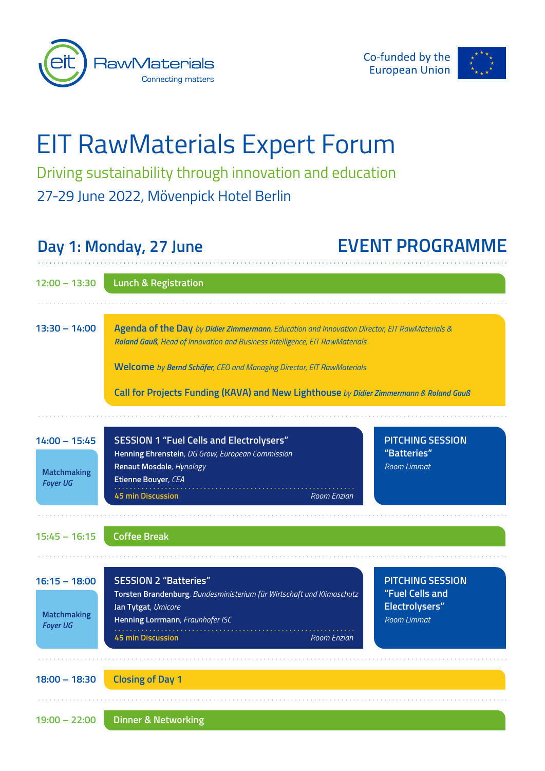



# EIT RawMaterials Expert Forum

Driving sustainability through innovation and education 27-29 June 2022, Mövenpick Hotel Berlin

## **Day 1: Monday, 27 June EVENT PROGRAMME**

| $12:00 - 13:30$                                          | <b>Lunch &amp; Registration</b>                                                                                                                                                                                                                                                                                                                 |                                                                             |
|----------------------------------------------------------|-------------------------------------------------------------------------------------------------------------------------------------------------------------------------------------------------------------------------------------------------------------------------------------------------------------------------------------------------|-----------------------------------------------------------------------------|
| $13:30 - 14:00$                                          | Agenda of the Day by Didier Zimmermann, Education and Innovation Director, EIT RawMaterials &<br>Roland Gauß, Head of Innovation and Business Intelligence, EIT RawMaterials<br>Welcome by Bernd Schäfer, CEO and Managing Director, EIT RawMaterials<br>Call for Projects Funding (KAVA) and New Lighthouse by Didier Zimmermann & Roland Gauß |                                                                             |
|                                                          |                                                                                                                                                                                                                                                                                                                                                 |                                                                             |
| $14:00 - 15:45$<br><b>Matchmaking</b><br><b>Foyer UG</b> | <b>SESSION 1 "Fuel Cells and Electrolysers"</b><br>Henning Ehrenstein, DG Grow, European Commission<br>Renaut Mosdale, Hynology<br>Etienne Bouyer, CEA<br><b>45 min Discussion</b><br>Room Enzian                                                                                                                                               | <b>PITCHING SESSION</b><br>"Batteries"<br><b>Room Limmat</b>                |
|                                                          |                                                                                                                                                                                                                                                                                                                                                 |                                                                             |
| $15:45 - 16:15$                                          | <b>Coffee Break</b>                                                                                                                                                                                                                                                                                                                             |                                                                             |
| $16:15 - 18:00$<br><b>Matchmaking</b><br><b>Foyer UG</b> | <b>SESSION 2 "Batteries"</b><br>Torsten Brandenburg, Bundesministerium für Wirtschaft und Klimaschutz<br>Jan Tytgat, Umicore<br>Henning Lorrmann, Fraunhofer ISC                                                                                                                                                                                | <b>PITCHING SESSION</b><br>"Fuel Cells and<br>Electrolysers"<br>Room Limmat |
|                                                          | <b>45 min Discussion</b><br><b>Room Enzian</b>                                                                                                                                                                                                                                                                                                  |                                                                             |
| $18:00 - 18:30$                                          | <b>Closing of Day 1</b>                                                                                                                                                                                                                                                                                                                         |                                                                             |
| $19:00 - 22:00$                                          | <b>Dinner &amp; Networking</b>                                                                                                                                                                                                                                                                                                                  |                                                                             |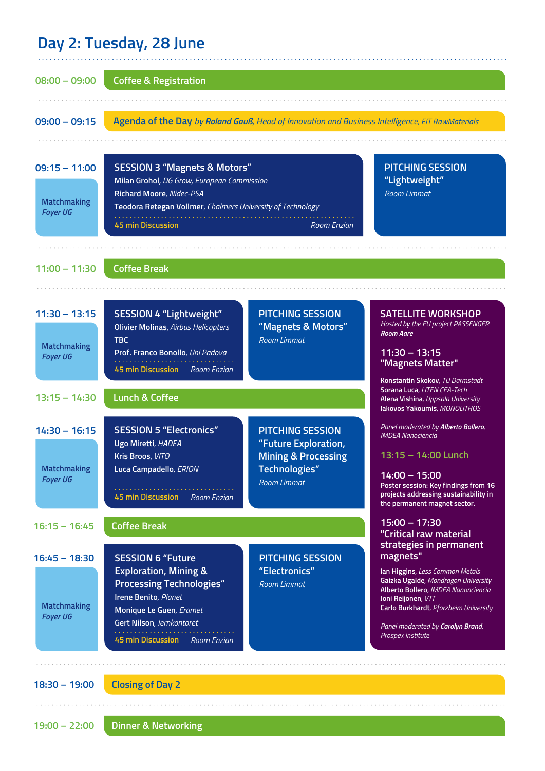### **Day 2: Tuesday, 28 June**